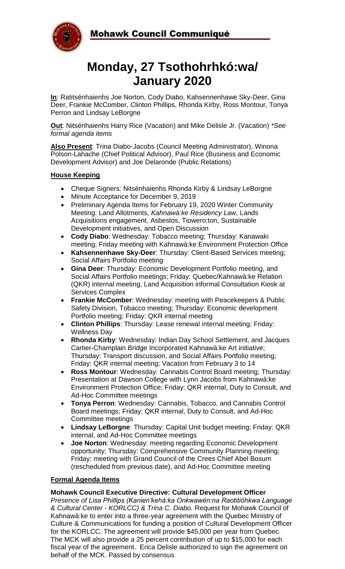

# **Monday, 27 Tsothohrhkó:wa/ January 2020**

**In**: Ratitsénhaienhs Joe Norton, Cody Diabo, Kahsennenhawe Sky-Deer, Gina Deer, Frankie McComber, Clinton Phillips, Rhonda Kirby, Ross Montour, Tonya Perron and Lindsay LeBorgne

**Out**: Nitsénhaienhs Harry Rice (Vacation) and Mike Delisle Jr. (Vacation) *\*See formal agenda items*

**Also Present**: Trina Diabo-Jacobs (Council Meeting Administrator), Winona Polson-Lahache (Chief Political Advisor), Paul Rice (Business and Economic Development Advisor) and Joe Delaronde (Public Relations)

# **House Keeping**

- Cheque Signers: Nitsénhaienhs Rhonda Kirby & Lindsay LeBorgne
- Minute Acceptance for December 9, 2019
- Preliminary Agenda Items for February 19, 2020 Winter Community Meeting: Land Allotments, *Kahnawà:ke Residency Law*, Lands Acquisitions engagement, Asbestos, Tiowero:ton, Sustainable Development initiatives, and Open Discussion
- **Cody Diabo**: Wednesday: Tobacco meeting; Thursday: Kanawaki meeting; Friday meeting with Kahnawà:ke Environment Protection Office
- **Kahsennenhawe Sky-Deer: Thursday: Client-Based Services meeting:** Social Affairs Portfolio meeting
- **Gina Deer**: Thursday: Economic Development Portfolio meeting, and Social Affairs Portfolio meetings; Friday: Quebec/Kahnawà:ke Relation (QKR) internal meeting, Land Acquisition informal Consultation Kiosk at Services Complex
- **Frankie McComber**: Wednesday: meeting with Peacekeepers & Public Safety Division, Tobacco meeting; Thursday: Economic development Portfolio meeting; Friday: QKR internal meeting
- **Clinton Phillips**: Thursday: Lease renewal internal meeting; Friday: Wellness Day
- **Rhonda Kirby**: Wednesday: Indian Day School Settlement, and Jacques Cartier-Champlain Bridge Incorporated Kahnawà:ke Art initiative; Thursday: Transport discussion, and Social Affairs Portfolio meeting; Friday: QKR internal meeting; Vacation from February 3 to 14
- **Ross Montour**: Wednesday: Cannabis Control Board meeting; Thursday: Presentation at Dawson College with Lynn Jacobs from Kahnawà:ke Environment Protection Office; Friday: QKR internal, Duty to Consult, and Ad-Hoc Committee meetings
- **Tonya Perron**: Wednesday: Cannabis, Tobacco, and Cannabis Control Board meetings; Friday: QKR internal, Duty to Consult, and Ad-Hoc Committee meetings
- **Lindsay LeBorgne**: Thursday: Capital Unit budget meeting; Friday: QKR internal, and Ad-Hoc Committee meetings
- **Joe Norton**: Wednesday: meeting regarding Economic Development opportunity; Thursday: Comprehensive Community Planning meeting; Friday: meeting with Grand Council of the Crees Chief Abel Bosum (rescheduled from previous date), and Ad-Hoc Committee meeting

# **Formal Agenda Items**

#### **Mohawk Council Executive Directive: Cultural Development Officer**

*Presence of Lisa Phillips (Kanien'kehá:ka Onkwawén:na Raotitióhkwa Language & Cultural Center - KORLCC) & Trina C. Diabo.* Request for Mohawk Council of Kahnawà:ke to enter into a three-year agreement with the Quebec Ministry of Culture & Communications for funding a position of Cultural Development Officer for the KORLCC. The agreement will provide \$45,000 per year from Quebec. The MCK will also provide a 25 percent contribution of up to \$15,000 for each fiscal year of the agreement. Erica Delisle authorized to sign the agreement on behalf of the MCK. Passed by consensus